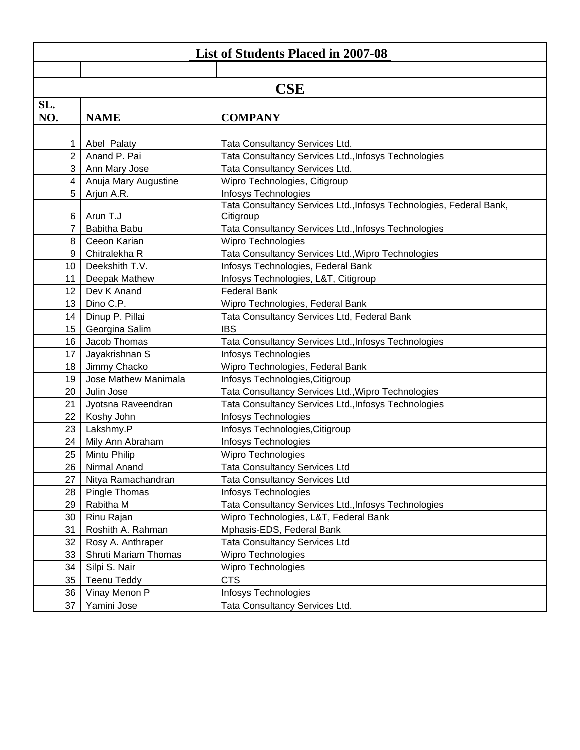| <b>List of Students Placed in 2007-08</b> |                             |                                                                                  |  |  |  |
|-------------------------------------------|-----------------------------|----------------------------------------------------------------------------------|--|--|--|
|                                           |                             |                                                                                  |  |  |  |
| <b>CSE</b>                                |                             |                                                                                  |  |  |  |
| SL.                                       |                             |                                                                                  |  |  |  |
| NO.                                       | <b>NAME</b>                 | <b>COMPANY</b>                                                                   |  |  |  |
|                                           |                             |                                                                                  |  |  |  |
|                                           | Abel Palaty                 | Tata Consultancy Services Ltd.                                                   |  |  |  |
| 2                                         | Anand P. Pai                | Tata Consultancy Services Ltd., Infosys Technologies                             |  |  |  |
| 3                                         | Ann Mary Jose               | Tata Consultancy Services Ltd.                                                   |  |  |  |
| $\overline{4}$                            | Anuja Mary Augustine        | Wipro Technologies, Citigroup                                                    |  |  |  |
| 5                                         | Arjun A.R.                  | Infosys Technologies                                                             |  |  |  |
| 6                                         | Arun T.J                    | Tata Consultancy Services Ltd., Infosys Technologies, Federal Bank,<br>Citigroup |  |  |  |
| 7                                         | Babitha Babu                | Tata Consultancy Services Ltd., Infosys Technologies                             |  |  |  |
| 8                                         | Ceeon Karian                | <b>Wipro Technologies</b>                                                        |  |  |  |
| 9                                         | Chitralekha R               | Tata Consultancy Services Ltd., Wipro Technologies                               |  |  |  |
| 10                                        | Deekshith T.V.              | Infosys Technologies, Federal Bank                                               |  |  |  |
| 11                                        | Deepak Mathew               | Infosys Technologies, L&T, Citigroup                                             |  |  |  |
| 12                                        | Dev K Anand                 | <b>Federal Bank</b>                                                              |  |  |  |
| 13                                        | Dino C.P.                   | Wipro Technologies, Federal Bank                                                 |  |  |  |
| 14                                        | Dinup P. Pillai             | Tata Consultancy Services Ltd, Federal Bank                                      |  |  |  |
| 15                                        | Georgina Salim              | <b>IBS</b>                                                                       |  |  |  |
| 16                                        | Jacob Thomas                | Tata Consultancy Services Ltd., Infosys Technologies                             |  |  |  |
| 17                                        | Jayakrishnan S              | Infosys Technologies                                                             |  |  |  |
| 18                                        | Jimmy Chacko                | Wipro Technologies, Federal Bank                                                 |  |  |  |
| 19                                        | Jose Mathew Manimala        | Infosys Technologies, Citigroup                                                  |  |  |  |
| 20                                        | Julin Jose                  | Tata Consultancy Services Ltd., Wipro Technologies                               |  |  |  |
| 21                                        | Jyotsna Raveendran          | Tata Consultancy Services Ltd., Infosys Technologies                             |  |  |  |
| 22                                        | Koshy John                  | Infosys Technologies                                                             |  |  |  |
| 23                                        | Lakshmy.P                   | Infosys Technologies, Citigroup                                                  |  |  |  |
| 24                                        | Mily Ann Abraham            | Infosys Technologies                                                             |  |  |  |
| 25                                        | Mintu Philip                | <b>Wipro Technologies</b>                                                        |  |  |  |
| 26                                        | Nirmal Anand                | <b>Tata Consultancy Services Ltd</b>                                             |  |  |  |
| 27                                        | Nitya Ramachandran          | <b>Tata Consultancy Services Ltd</b>                                             |  |  |  |
| 28                                        | Pingle Thomas               | <b>Infosys Technologies</b>                                                      |  |  |  |
| 29                                        | Rabitha M                   | Tata Consultancy Services Ltd., Infosys Technologies                             |  |  |  |
| 30                                        | Rinu Rajan                  | Wipro Technologies, L&T, Federal Bank                                            |  |  |  |
| 31                                        | Roshith A. Rahman           | Mphasis-EDS, Federal Bank                                                        |  |  |  |
| 32                                        | Rosy A. Anthraper           | <b>Tata Consultancy Services Ltd</b>                                             |  |  |  |
| 33                                        | <b>Shruti Mariam Thomas</b> | <b>Wipro Technologies</b>                                                        |  |  |  |
| 34                                        | Silpi S. Nair               | <b>Wipro Technologies</b>                                                        |  |  |  |
| 35                                        | <b>Teenu Teddy</b>          | <b>CTS</b>                                                                       |  |  |  |
| 36                                        | Vinay Menon P               | Infosys Technologies                                                             |  |  |  |
| 37                                        | Yamini Jose                 | Tata Consultancy Services Ltd.                                                   |  |  |  |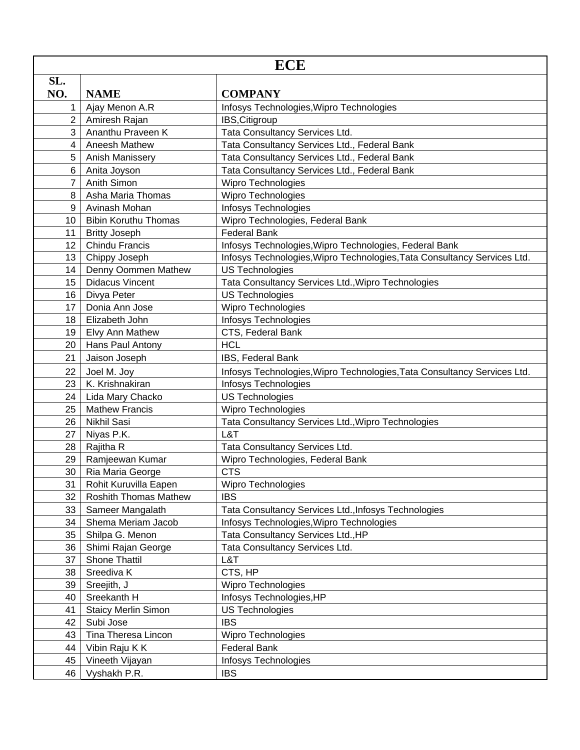| <b>ECE</b>      |                              |                                                                          |  |
|-----------------|------------------------------|--------------------------------------------------------------------------|--|
| SL.             |                              |                                                                          |  |
| NO.             | <b>NAME</b>                  | <b>COMPANY</b>                                                           |  |
| $\mathbf 1$     | Ajay Menon A.R               | Infosys Technologies, Wipro Technologies                                 |  |
| $\overline{2}$  | Amiresh Rajan                | IBS, Citigroup                                                           |  |
| 3               | Ananthu Praveen K            | Tata Consultancy Services Ltd.                                           |  |
| $\overline{4}$  | Aneesh Mathew                | Tata Consultancy Services Ltd., Federal Bank                             |  |
| 5               | Anish Manissery              | Tata Consultancy Services Ltd., Federal Bank                             |  |
| 6               | Anita Joyson                 | Tata Consultancy Services Ltd., Federal Bank                             |  |
| $\overline{7}$  | Anith Simon                  | Wipro Technologies                                                       |  |
| 8               | Asha Maria Thomas            | Wipro Technologies                                                       |  |
| 9               | Avinash Mohan                | Infosys Technologies                                                     |  |
| 10 <sup>1</sup> | <b>Bibin Koruthu Thomas</b>  | Wipro Technologies, Federal Bank                                         |  |
| 11              | <b>Britty Joseph</b>         | <b>Federal Bank</b>                                                      |  |
| 12 <sup>°</sup> | Chindu Francis               | Infosys Technologies, Wipro Technologies, Federal Bank                   |  |
| 13              | Chippy Joseph                | Infosys Technologies, Wipro Technologies, Tata Consultancy Services Ltd. |  |
| 14              | Denny Oommen Mathew          | <b>US Technologies</b>                                                   |  |
| 15 <sub>1</sub> | <b>Didacus Vincent</b>       | Tata Consultancy Services Ltd., Wipro Technologies                       |  |
| 16              | Divya Peter                  | <b>US Technologies</b>                                                   |  |
| 17              | Donia Ann Jose               | <b>Wipro Technologies</b>                                                |  |
| 18              | Elizabeth John               | <b>Infosys Technologies</b>                                              |  |
| 19              | Elvy Ann Mathew              | CTS, Federal Bank                                                        |  |
| 20              | Hans Paul Antony             | <b>HCL</b>                                                               |  |
| 21              | Jaison Joseph                | IBS, Federal Bank                                                        |  |
| 22              | Joel M. Joy                  | Infosys Technologies, Wipro Technologies, Tata Consultancy Services Ltd. |  |
| 23              | K. Krishnakiran              | Infosys Technologies                                                     |  |
| 24              | Lida Mary Chacko             | <b>US Technologies</b>                                                   |  |
| 25              | <b>Mathew Francis</b>        | <b>Wipro Technologies</b>                                                |  |
| 26              | Nikhil Sasi                  | Tata Consultancy Services Ltd., Wipro Technologies                       |  |
| 27              | Niyas P.K.                   | L&T                                                                      |  |
| 28              | Rajitha R                    | Tata Consultancy Services Ltd.                                           |  |
| 29              | Ramjeewan Kumar              | Wipro Technologies, Federal Bank                                         |  |
| 30              | Ria Maria George             | <b>CTS</b>                                                               |  |
| 31              | Rohit Kuruvilla Eapen        | <b>Wipro Technologies</b>                                                |  |
| 32              | <b>Roshith Thomas Mathew</b> | <b>IBS</b>                                                               |  |
| 33              | Sameer Mangalath             | Tata Consultancy Services Ltd., Infosys Technologies                     |  |
| 34              | Shema Meriam Jacob           | Infosys Technologies, Wipro Technologies                                 |  |
| 35              | Shilpa G. Menon              | Tata Consultancy Services Ltd., HP                                       |  |
| 36              | Shimi Rajan George           | Tata Consultancy Services Ltd.                                           |  |
| 37              | Shone Thattil                | L&T                                                                      |  |
| 38              | Sreediva K                   | CTS, HP                                                                  |  |
| 39              | Sreejith, J                  | <b>Wipro Technologies</b>                                                |  |
| 40              | Sreekanth H                  | Infosys Technologies, HP                                                 |  |
| 41              | <b>Staicy Merlin Simon</b>   | <b>US Technologies</b>                                                   |  |
| 42              | Subi Jose                    | <b>IBS</b>                                                               |  |
| 43              | Tina Theresa Lincon          | <b>Wipro Technologies</b>                                                |  |
| 44              | Vibin Raju K K               | <b>Federal Bank</b>                                                      |  |
| 45              | Vineeth Vijayan              | Infosys Technologies                                                     |  |
| 46              | Vyshakh P.R.                 | <b>IBS</b>                                                               |  |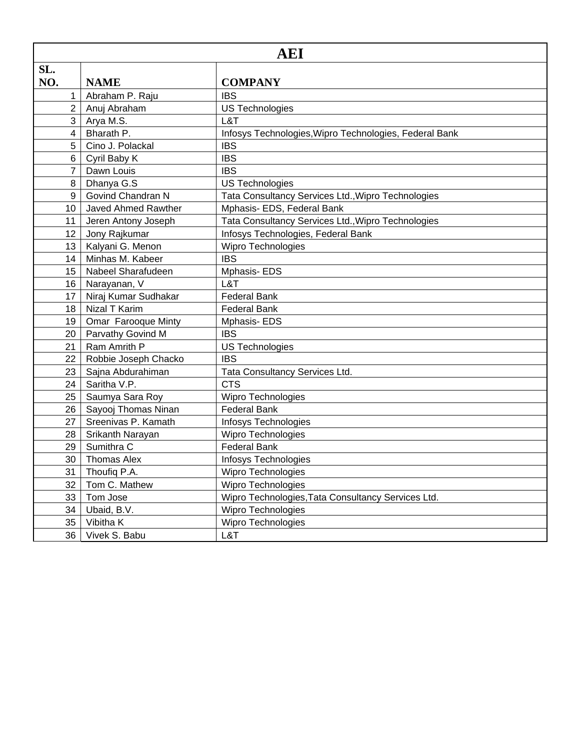| AEI             |                      |                                                        |
|-----------------|----------------------|--------------------------------------------------------|
| SL.             |                      |                                                        |
| NO.             | <b>NAME</b>          | <b>COMPANY</b>                                         |
| 1               | Abraham P. Raju      | <b>IBS</b>                                             |
| $\overline{2}$  | Anuj Abraham         | <b>US Technologies</b>                                 |
| 3               | Arya M.S.            | L&T                                                    |
| 4               | Bharath P.           | Infosys Technologies, Wipro Technologies, Federal Bank |
| 5               | Cino J. Polackal     | <b>IBS</b>                                             |
| 6               | Cyril Baby K         | <b>IBS</b>                                             |
| $\overline{7}$  | Dawn Louis           | <b>IBS</b>                                             |
| 8               | Dhanya G.S           | <b>US Technologies</b>                                 |
| 9               | Govind Chandran N    | Tata Consultancy Services Ltd., Wipro Technologies     |
| 10              | Javed Ahmed Rawther  | Mphasis- EDS, Federal Bank                             |
| 11              | Jeren Antony Joseph  | Tata Consultancy Services Ltd., Wipro Technologies     |
| 12              | Jony Rajkumar        | Infosys Technologies, Federal Bank                     |
| 13              | Kalyani G. Menon     | Wipro Technologies                                     |
| 14              | Minhas M. Kabeer     | <b>IBS</b>                                             |
| 15              | Nabeel Sharafudeen   | Mphasis- EDS                                           |
| 16 <sup>1</sup> | Narayanan, V         | L&T                                                    |
| 17              | Niraj Kumar Sudhakar | <b>Federal Bank</b>                                    |
| 18              | Nizal T Karim        | <b>Federal Bank</b>                                    |
| 19              | Omar Farooque Minty  | Mphasis-EDS                                            |
| 20              | Parvathy Govind M    | <b>IBS</b>                                             |
| 21              | Ram Amrith P         | <b>US Technologies</b>                                 |
| 22              | Robbie Joseph Chacko | <b>IBS</b>                                             |
| 23              | Sajna Abdurahiman    | Tata Consultancy Services Ltd.                         |
| 24              | Saritha V.P.         | <b>CTS</b>                                             |
| 25              | Saumya Sara Roy      | Wipro Technologies                                     |
| 26              | Sayooj Thomas Ninan  | <b>Federal Bank</b>                                    |
| 27              | Sreenivas P. Kamath  | Infosys Technologies                                   |
| 28              | Srikanth Narayan     | Wipro Technologies                                     |
| 29              | Sumithra C           | <b>Federal Bank</b>                                    |
| 30              | <b>Thomas Alex</b>   | <b>Infosys Technologies</b>                            |
| 31              | Thoufiq P.A.         | Wipro Technologies                                     |
| 32              | Tom C. Mathew        | <b>Wipro Technologies</b>                              |
| 33              | Tom Jose             | Wipro Technologies, Tata Consultancy Services Ltd.     |
| 34              | Ubaid, B.V.          | Wipro Technologies                                     |
| 35              | Vibitha K            | <b>Wipro Technologies</b>                              |
| 36              | Vivek S. Babu        | L&T                                                    |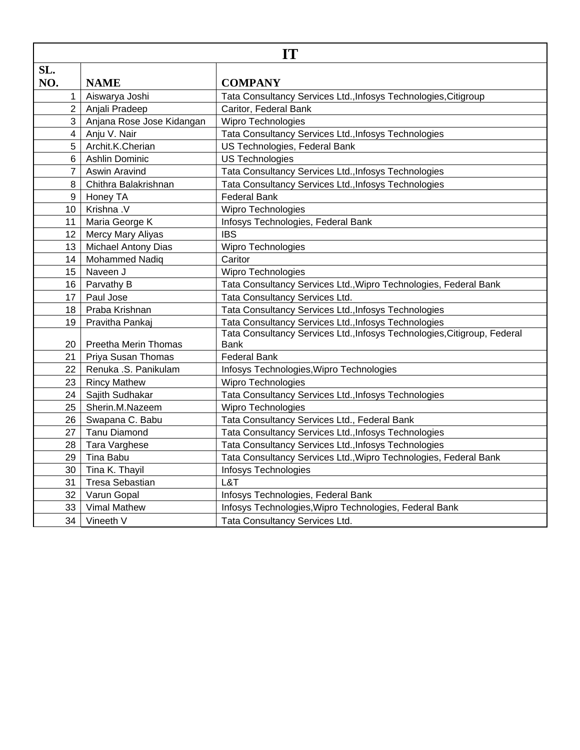| <b>IT</b>      |                            |                                                                          |
|----------------|----------------------------|--------------------------------------------------------------------------|
| SL.            |                            |                                                                          |
| NO.            | <b>NAME</b>                | <b>COMPANY</b>                                                           |
| 1              | Aiswarya Joshi             | Tata Consultancy Services Ltd., Infosys Technologies, Citigroup          |
| $\overline{2}$ | Anjali Pradeep             | Caritor, Federal Bank                                                    |
| 3              | Anjana Rose Jose Kidangan  | Wipro Technologies                                                       |
| 4              | Anju V. Nair               | Tata Consultancy Services Ltd., Infosys Technologies                     |
| 5              | Archit.K.Cherian           | US Technologies, Federal Bank                                            |
| 6              | Ashlin Dominic             | <b>US Technologies</b>                                                   |
| $\overline{7}$ | <b>Aswin Aravind</b>       | Tata Consultancy Services Ltd., Infosys Technologies                     |
| 8              | Chithra Balakrishnan       | Tata Consultancy Services Ltd., Infosys Technologies                     |
| 9              | Honey TA                   | <b>Federal Bank</b>                                                      |
| 10             | Krishna .V                 | Wipro Technologies                                                       |
| 11             | Maria George K             | Infosys Technologies, Federal Bank                                       |
| 12             | Mercy Mary Aliyas          | <b>IBS</b>                                                               |
| 13             | <b>Michael Antony Dias</b> | Wipro Technologies                                                       |
| 14             | <b>Mohammed Nadiq</b>      | Caritor                                                                  |
| 15             | Naveen J                   | Wipro Technologies                                                       |
| 16             | Parvathy B                 | Tata Consultancy Services Ltd., Wipro Technologies, Federal Bank         |
| 17             | Paul Jose                  | Tata Consultancy Services Ltd.                                           |
| 18             | Praba Krishnan             | Tata Consultancy Services Ltd., Infosys Technologies                     |
| 19             | Pravitha Pankaj            | Tata Consultancy Services Ltd., Infosys Technologies                     |
|                |                            | Tata Consultancy Services Ltd., Infosys Technologies, Citigroup, Federal |
| 20             | Preetha Merin Thomas       | <b>Bank</b>                                                              |
| 21             | Priya Susan Thomas         | <b>Federal Bank</b>                                                      |
| 22             | Renuka .S. Panikulam       | Infosys Technologies, Wipro Technologies                                 |
| 23             | <b>Rincy Mathew</b>        | <b>Wipro Technologies</b>                                                |
| 24             | Sajith Sudhakar            | Tata Consultancy Services Ltd., Infosys Technologies                     |
| 25             | Sherin.M.Nazeem            | <b>Wipro Technologies</b>                                                |
| 26             | Swapana C. Babu            | Tata Consultancy Services Ltd., Federal Bank                             |
| 27             | <b>Tanu Diamond</b>        | Tata Consultancy Services Ltd., Infosys Technologies                     |
| 28             | Tara Varghese              | Tata Consultancy Services Ltd., Infosys Technologies                     |
| 29             | Tina Babu                  | Tata Consultancy Services Ltd., Wipro Technologies, Federal Bank         |
| 30             | Tina K. Thayil             | Infosys Technologies                                                     |
| 31             | <b>Tresa Sebastian</b>     | L&T                                                                      |
| 32             | Varun Gopal                | Infosys Technologies, Federal Bank                                       |
| 33             | <b>Vimal Mathew</b>        | Infosys Technologies, Wipro Technologies, Federal Bank                   |
| 34             | Vineeth V                  | Tata Consultancy Services Ltd.                                           |